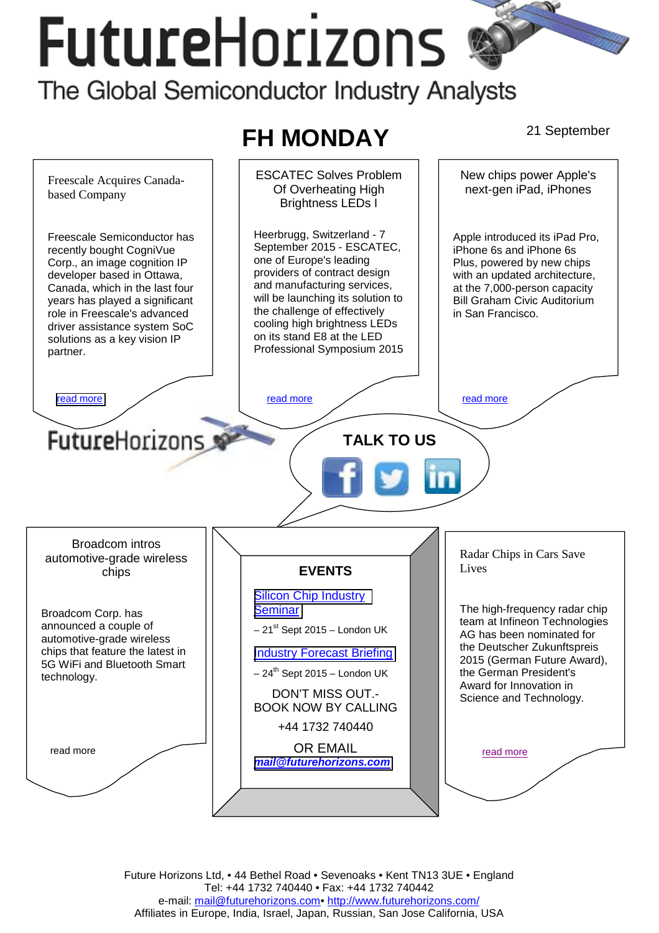# **FutureHorizons** The Global Semiconductor Industry Analysts



Future Horizons Ltd, • 44 Bethel Road • Sevenoaks • Kent TN13 3UE • England Tel: +44 1732 740440 • Fax: +44 1732 740442 e-mail: mail@futurehorizons.com• http://www.futurehorizons.com/ Affiliates in Europe, India, Israel, Japan, Russian, San Jose California, USA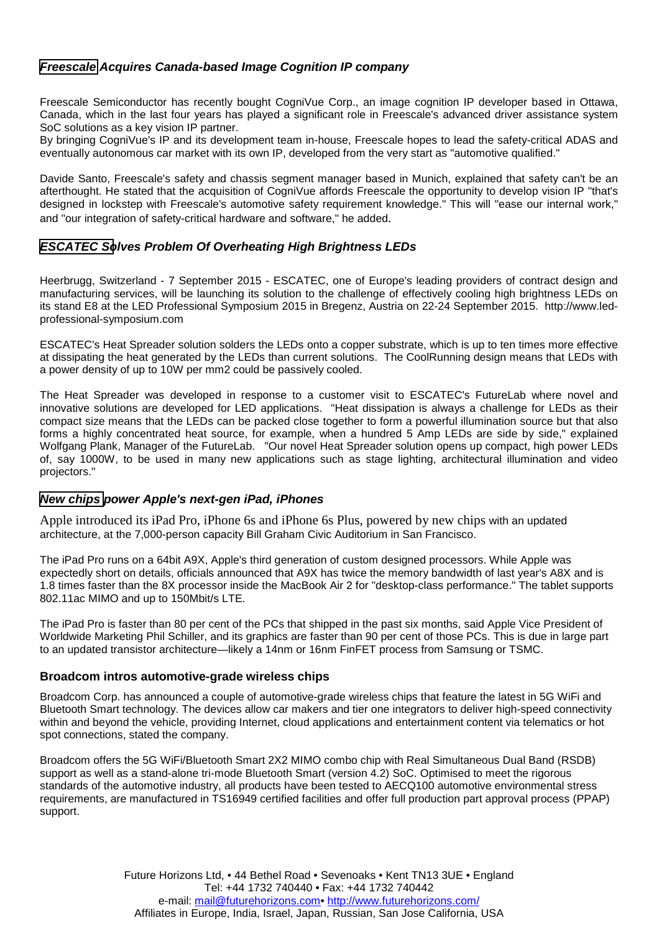## <span id="page-1-0"></span>*Freescale Acquires Canada-based Image Cognition IP company*

Freescale Semiconductor has recently bought CogniVue Corp., an image cognition IP developer based in Ottawa, Canada, which in the last four years has played a significant role in Freescale's advanced driver assistance system SoC solutions as a key vision IP partner.

By bringing CogniVue's IP and its development team in-house, Freescale hopes to lead the safety-critical ADAS and eventually autonomous car market with its own IP, developed from the very start as "automotive qualified."

Davide Santo, Freescale's safety and chassis segment manager based in Munich, explained that safety can't be an afterthought. He stated that the acquisition of CogniVue affords Freescale the opportunity to develop vision IP "that's designed in lockstep with Freescale's automotive safety requirement knowledge." This will "ease our internal work," and "our integration of safety-critical hardware and software," he added.

## *[ESCATEC So](#page-2-0)lves Problem Of Overheating High Brightness LEDs*

Heerbrugg, Switzerland - 7 September 2015 - ESCATEC, one of Europe's leading providers of contract design and manufacturing services, will be launching its solution to the challenge of effectively cooling high brightness LEDs on its stand E8 at the LED Professional Symposium 2015 in Bregenz, Austria on 22-24 September 2015. http://www.ledprofessional-symposium.com

ESCATEC's Heat Spreader solution solders the LEDs onto a copper substrate, which is up to ten times more effective at dissipating the heat generated by the LEDs than current solutions. The CoolRunning design means that LEDs with a power density of up to 10W per mm2 could be passively cooled.

The Heat Spreader was developed in response to a customer visit to ESCATEC's FutureLab where novel and innovative solutions are developed for LED applications. "Heat dissipation is always a challenge for LEDs as their compact size means that the LEDs can be packed close together to form a powerful illumination source but that also forms a highly concentrated heat source, for example, when a hundred 5 Amp LEDs are side by side," explained Wolfgang Plank, Manager of the FutureLab. "Our novel Heat Spreader solution opens up compact, high power LEDs of, say 1000W, to be used in many new applications such as stage lighting, architectural illumination and video projectors."

#### *New chips power Apple's next-gen iPad, iPhones*

Apple introduced its iPad Pro, iPhone 6s and iPhone 6s Plus, powered by new chips with an updated architecture, at the 7,000-person capacity Bill Graham Civic Auditorium in San Francisco.

The iPad Pro runs on a 64bit A9X, Apple's third generation of custom designed processors. While Apple was expectedly short on details, officials announced that A9X has twice the memory bandwidth of last year's A8X and is 1.8 times faster than the 8X processor inside the MacBook Air 2 for "desktop-class performance." The tablet supports 802.11ac MIMO and up to 150Mbit/s LTE.

The iPad Pro is faster than 80 per cent of the PCs that shipped in the past six months, said Apple Vice President of Worldwide Marketing Phil Schiller, and its graphics are faster than 90 per cent of those PCs. This is due in large part to an updated transistor architecture—likely a 14nm or 16nm FinFET process from Samsung or TSMC.

#### **Broadcom intros automotive-grade wireless chips**

Broadcom Corp. has announced a couple of automotive-grade wireless chips that feature the latest in 5G WiFi and Bluetooth Smart technology. The devices allow car makers and tier one integrators to deliver high-speed connectivity within and beyond the vehicle, providing Internet, cloud applications and entertainment content via telematics or hot spot connections, stated the company.

Broadcom offers the 5G WiFi/Bluetooth Smart 2X2 MIMO combo chip with Real Simultaneous Dual Band (RSDB) support as well as a stand-alone tri-mode Bluetooth Smart (version 4.2) SoC. Optimised to meet the rigorous standards of the automotive industry, all products have been tested to AECQ100 automotive environmental stress requirements, are manufactured in TS16949 certified facilities and offer full production part approval process (PPAP) support.